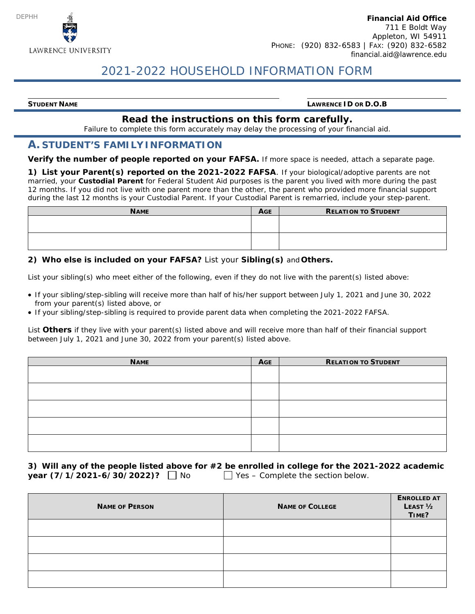

# 2021-2022 HOUSEHOLD INFORMATION FORM

**STUDENT NAME LAWRENCE ID OR D.O.B**

### **Read the instructions on this form carefully.**

Failure to complete this form accurately may delay the processing of your financial aid.

#### **A. STUDENT'S FAMILYINFORMATION**

**Verify the number of people reported on your FAFSA.** If more space is needed, attach a separate page.

**1) List your Parent(s) reported on the 2021-2022 FAFSA**. If your biological/adoptive parents are not married, your **Custodial Parent** for Federal Student Aid purposes is the parent you lived with more during the past 12 months. If you did not live with one parent more than the other, the parent who provided more financial support during the last 12 months is your Custodial Parent. If your Custodial Parent is remarried, include your step-parent.

| <b>NAME</b> | <b>AGE</b> | <b>RELATION TO STUDENT</b> |
|-------------|------------|----------------------------|
|             |            |                            |
|             |            |                            |
|             |            |                            |
|             |            |                            |

#### **2) Who else is included on your FAFSA?** List your **Sibling(s)** and **Others.**

List your sibling(s) who meet either of the following, even if they do not live with the parent(s) listed above:

- If your sibling/step-sibling will receive more than half of his/her support between July 1, 2021 and June 30, 2022 from your parent(s) listed above, or
- If your sibling/step-sibling is required to provide parent data when completing the 2021-2022 FAFSA.

List **Others** if they live with your parent(s) listed above and will receive more than half of their financial support between July 1, 2021 and June 30, 2022 from your parent(s) listed above.

| <b>NAME</b> | AGE | <b>RELATION TO STUDENT</b> |
|-------------|-----|----------------------------|
|             |     |                            |
|             |     |                            |
|             |     |                            |
|             |     |                            |
|             |     |                            |

**3) Will any of the people listed above for #2 be enrolled in college for the 2021-2022 academic year**  $(7/1/2021-6/30/2022)$ ?  $\Box$  No Yes – Complete the section below.

| <b>NAME OF PERSON</b> | <b>NAME OF COLLEGE</b> | <b>ENROLLED AT</b><br>LEAST <sub>1/2</sub><br>TIME? |
|-----------------------|------------------------|-----------------------------------------------------|
|                       |                        |                                                     |
|                       |                        |                                                     |
|                       |                        |                                                     |
|                       |                        |                                                     |